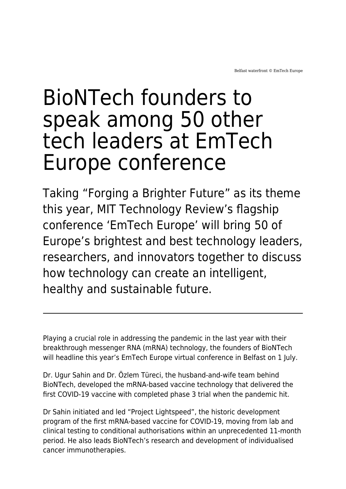## BioNTech founders to speak among 50 other tech leaders at EmTech Europe conference

Taking "Forging a Brighter Future" as its theme this year, MIT Technology Review's flagship conference 'EmTech Europe' will bring 50 of Europe's brightest and best technology leaders, researchers, and innovators together to discuss how technology can create an intelligent, healthy and sustainable future.

Playing a crucial role in addressing the pandemic in the last year with their breakthrough messenger RNA (mRNA) technology, the founders of BioNTech will headline this year's EmTech Europe virtual conference in Belfast on 1 July.

Dr. Ugur Sahin and Dr. Özlem Türeci, the husband-and-wife team behind BioNTech, developed the mRNA-based vaccine technology that delivered the first COVID-19 vaccine with completed phase 3 trial when the pandemic hit.

Dr Sahin initiated and led "Project Lightspeed", the historic development program of the first mRNA-based vaccine for COVID-19, moving from lab and clinical testing to conditional authorisations within an unprecedented 11-month period. He also leads BioNTech's research and development of individualised cancer immunotherapies.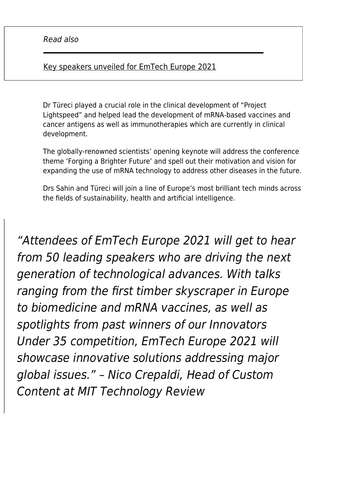Read also

## [Key speakers unveiled for EmTech Europe 2021](https://www.maddyness.com/uk/2021/04/27/key-speakers-unveiled-for-emtech-europe-2021/)

Dr Türeci played a crucial role in the clinical development of "Project Lightspeed" and helped lead the development of mRNA-based vaccines and cancer antigens as well as immunotherapies which are currently in clinical development.

The globally-renowned scientists' opening keynote will address the conference theme 'Forging a Brighter Future' and spell out their motivation and vision for expanding the use of mRNA technology to address other diseases in the future.

Drs Sahin and Türeci will join a line of Europe's most brilliant tech minds across the fields of sustainability, health and artificial intelligence.

"Attendees of EmTech Europe 2021 will get to hear from 50 leading speakers who are driving the next generation of technological advances. With talks ranging from the first timber skyscraper in Europe to biomedicine and mRNA vaccines, as well as spotlights from past winners of our Innovators Under 35 competition, EmTech Europe 2021 will showcase innovative solutions addressing major global issues." – Nico Crepaldi, Head of Custom Content at MIT Technology Review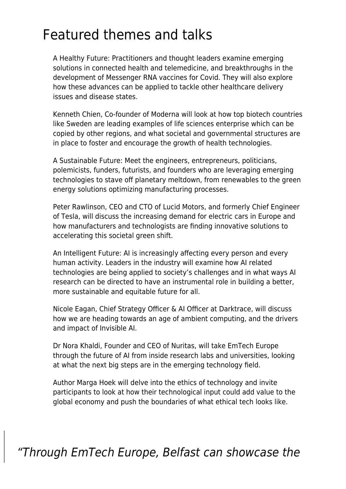## Featured themes and talks

A Healthy Future: Practitioners and thought leaders examine emerging solutions in connected health and telemedicine, and breakthroughs in the development of Messenger RNA vaccines for Covid. They will also explore how these advances can be applied to tackle other healthcare delivery issues and disease states.

Kenneth Chien, Co-founder of Moderna will look at how top biotech countries like Sweden are leading examples of life sciences enterprise which can be copied by other regions, and what societal and governmental structures are in place to foster and encourage the growth of health technologies.

A Sustainable Future: Meet the engineers, entrepreneurs, politicians, polemicists, funders, futurists, and founders who are leveraging emerging technologies to stave off planetary meltdown, from renewables to the green energy solutions optimizing manufacturing processes.

Peter Rawlinson, CEO and CTO of Lucid Motors, and formerly Chief Engineer of Tesla, will discuss the increasing demand for electric cars in Europe and how manufacturers and technologists are finding innovative solutions to accelerating this societal green shift.

An Intelligent Future: AI is increasingly affecting every person and every human activity. Leaders in the industry will examine how AI related technologies are being applied to society's challenges and in what ways AI research can be directed to have an instrumental role in building a better, more sustainable and equitable future for all.

Nicole Eagan, Chief Strategy Officer & AI Officer at Darktrace, will discuss how we are heading towards an age of ambient computing, and the drivers and impact of Invisible AI.

Dr Nora Khaldi, Founder and CEO of Nuritas, will take EmTech Europe through the future of AI from inside research labs and universities, looking at what the next big steps are in the emerging technology field.

Author Marga Hoek will delve into the ethics of technology and invite participants to look at how their technological input could add value to the global economy and push the boundaries of what ethical tech looks like.

## "Through EmTech Europe, Belfast can showcase the